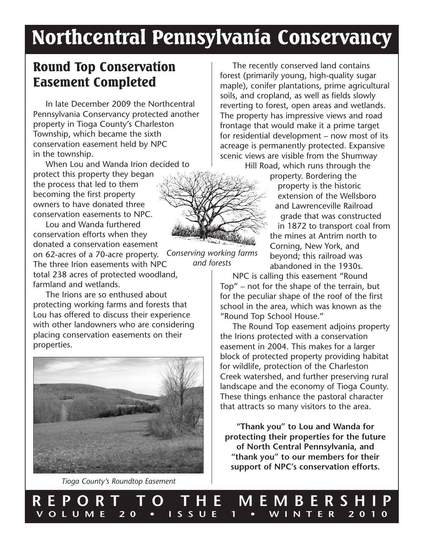# Northcentral Pennsylvania Conservancy

*Conserving working farms and forests*

### Round Top Conservation Easement Completed

In late December 2009 the Northcentral Pennsylvania Conservancy protected another property in Tioga County's Charleston Township, which became the sixth conservation easement held by NPC in the township.

When Lou and Wanda Irion decided to protect this property they began the process that led to them becoming the first property owners to have donated three conservation easements to NPC.

Lou and Wanda furthered conservation efforts when they donated a conservation easement on 62-acres of a 70-acre property.

The three Irion easements with NPC total 238 acres of protected woodland, farmland and wetlands.

The Irions are so enthused about protecting working farms and forests that Lou has offered to discuss their experience with other landowners who are considering placing conservation easements on their properties.



*Tioga County's Roundtop Easement*

The recently conserved land contains forest (primarily young, high-quality sugar maple), conifer plantations, prime agricultural soils, and cropland, as well as fields slowly reverting to forest, open areas and wetlands. The property has impressive views and road frontage that would make it a prime target for residential development – now most of its acreage is permanently protected. Expansive scenic views are visible from the Shumway Hill Road, which runs through the

property. Bordering the property is the historic extension of the Wellsboro and Lawrenceville Railroad grade that was constructed in 1872 to transport coal from the mines at Antrim north to Corning, New York, and beyond; this railroad was abandoned in the 1930s.

NPC is calling this easement "Round Top" – not for the shape of the terrain, but for the peculiar shape of the roof of the first school in the area, which was known as the "Round Top School House."

The Round Top easement adjoins property the Irions protected with a conservation easement in 2004. This makes for a larger block of protected property providing habitat for wildlife, protection of the Charleston Creek watershed, and further preserving rural landscape and the economy of Tioga County. These things enhance the pastoral character that attracts so many visitors to the area.

**"Thank you" to Lou and Wanda for protecting their properties for the future of North Central Pennsylvania, and "thank you" to our members for their support of NPC's conservation efforts.**

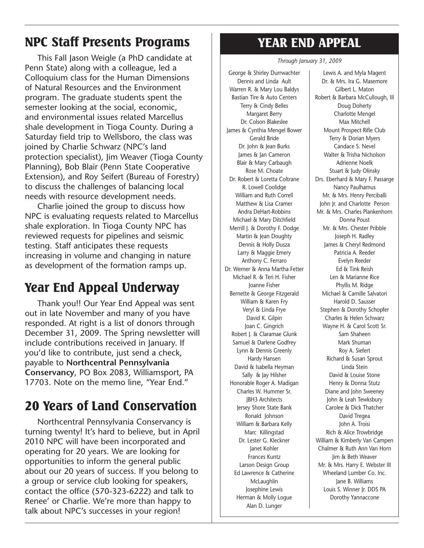## NPC Staff Presents Programs

This Fall Jason Weigle (a PhD candidate at Penn State) along with a colleague, led a Colloquium class for the Human Dimensions of Natural Resources and the Environment program. The graduate students spent the semester looking at the social, economic, and environmental issues related Marcellus shale development in Tioga County. During a Saturday field trip to Wellsboro, the class was joined by Charlie Schwarz (NPC's land protection specialist), Jim Weaver (Tioga County Planning), Bob Blair (Penn State Cooperative Extension), and Roy Seifert (Bureau of Forestry) to discuss the challenges of balancing local needs with resource development needs.

Charlie joined the group to discuss how NPC is evaluating requests related to Marcellus shale exploration. In Tioga County NPC has reviewed requests for pipelines and seismic testing. Staff anticipates these requests increasing in volume and changing in nature as development of the formation ramps up.

# Year End Appeal Underway

Thank you!! Our Year End Appeal was sent out in late November and many of you have responded. At right is a list of donors through December 31, 2009. The Spring newsletter will include contributions received in January. If you'd like to contribute, just send a check, payable to **Northcentral Pennsylvania Conservancy**, PO Box 2083, Williamsport, PA 17703. Note on the memo line, "Year End."

# 20 Years of Land Conservation

Northcentral Pennsylvania Conservancy is turning twenty! It's hard to believe, but in April 2010 NPC will have been incorporated and operating for 20 years. We are looking for opportunities to inform the general public about our 20 years of success. If you belong to a group or service club looking for speakers, contact the office (570-323-6222) and talk to Renee' or Charlie. We're more than happy to talk about NPC's successes in your region!

# YEAR END APPEAL

#### *Through January 31, 2009*

George & Shirley Durrwachter Dennis and Linda Ault Warren R. & Mary Lou Baldys Bastian Tire & Auto Centers Terry & Cindy Belles Margaret Berry Dr. Colson Blakeslee James & Cynthia Mengel Bower Gerald Bride Dr. John & Jean Burks James & Jan Cameron Blair & Mary Carbaugh Rose M. Choate Dr. Robert & Loretta Coltrane R. Lowell Coolidge William and Ruth Correll Matthew & Lisa Cramer Andra DeHart-Robbins Michael & Mary Ditchfield Merrill J. & Dorothy F. Dodge Martin & Jean Doughty Dennis & Holly Dusza Larry & Maggie Emery Anthony C. Ferraro Dr. Werner & Anna Martha Fetter Michael R. & Teri H. Fisher Joanne Fisher Bernette & George Fitzgerald William & Karen Fry Veryl & Linda Frye David K. Gilpin Joan C. Gingrich Robert J. & Claramae Glunk Samuel & Darlene Godfrey Lynn & Dennis Greenly Hardy Hansen David & Isabella Heyman Sally & Jay Hilsher Honorable Roger A. Madigan Charles W. Hummer Sr. JBH3 Architects Jersey Shore State Bank Ronald Johnson William & Barbara Kelly Marc Killingstad Dr. Lester G. Kleckner Janet Kohler Frances Kuntz Larson Design Group Ed Lawrence & Catherine McLaughlin Josephine Lewis Herman & Molly Logue Alan D. Lunger

Lewis A. and Myla Magent Dr. & Mrs. Ira G. Masemore Gilbert L. Maton Robert & Barbara McCullough, III Doug Doherty Charlotte Mengel Max Mitchell Mount Prospect Rifle Club Terry & Dorian Myers Candace S. Nevel Walter & Trisha Nicholson Adrienne Noelk Stuart & Judy Olinsky Drs. Eberhard & Mary F. Passarge Nancy Paulhamus Mr. & Mrs. Henry Perciballi John Jr. and Charlotte Person Mr. & Mrs. Charles Plankenhorn Donna Poust Mr. & Mrs. Chester Pribble Joseph H. Radley James & Cheryl Redmond Patricia A. Reeder Evelyn Reeder Ed & Tink Reish Len & Marianne Rice Phyllis M. Ridge Michael & Camille Salvatori Harold D. Sausser Stephen & Dorothy Schopfer Charles & Helen Schwarz Wayne H. & Carol Scott Sr. Sam Shaheen Mark Shuman Roy A. Siefert Richard & Susan Sprout Linda Stein David & Louise Stone Henry & Donna Stutz Diane and John Sweeney John & Leah Tewksbury Carolee & Dick Thatcher David Tregea John A. Troisi Rich & Alice Trowbridge William & Kimberly Van Campen Chalmer & Ruth Ann Van Horn Jim & Beth Weaver Mr. & Mrs. Harry E. Webster III Wheeland Lumber Co. Inc. Jane B. Williams Louis S. Winner Jr. DDS PA Dorothy Yannaccone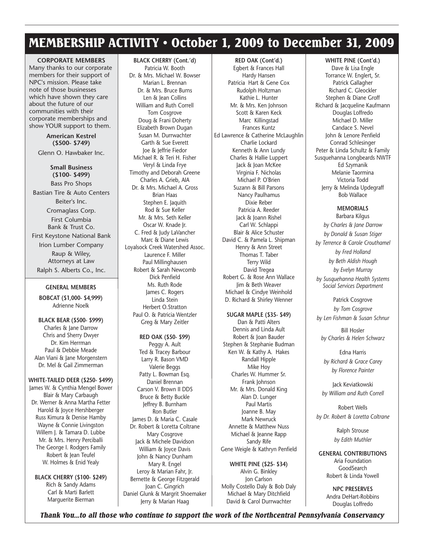### MEMBERSHIP ACTIVITY • October 1, 2009 to December 31, 2009

**CORPORATE MEMBERS**

Many thanks to our corporate members for their support of NPC's mission. Please take note of those businesses which have shown they care about the future of our communities with their corporate memberships and show YOUR support to them.

> **American Kestrel (\$500- \$749)**

Glenn O. Hawbaker Inc.

#### **Small Business (\$100- \$499)**

Bass Pro Shops Bastian Tire & Auto Centers Beiter's Inc. Cromaglass Corp. First Columbia Bank & Trust Co. First Keystone National Bank Irion Lumber Company Raup & Wiley, Attorneys at Law

Ralph S. Alberts Co., Inc.

#### **GENERAL MEMBERS**

**BOBCAT (\$1,000- \$4,999)** Adrienne Noelk

**BLACK BEAR (\$500- \$999)** Charles & Jane Darrow Chris and Sherry Dwyer Dr. Kim Herrman Paul & Debbie Meade Alan Viani & Jane Morgenstern Dr. Mel & Gail Zimmerman

#### **WHITE-TAILED DEER (\$250- \$499)**

James W. & Cynthia Mengel Bower Blair & Mary Carbaugh Dr. Werner & Anna Martha Fetter Harold & Joyce Hershberger Russ Kimura & Denise Hamby Wayne & Connie Livingston Willem J. & Tamara D. Lubbe Mr. & Mrs. Henry Perciballi The George I. Rodgers Family Robert & Jean Teufel W. Holmes & Enid Yealy

**BLACK CHERRY (\$100- \$249)** Rich & Sandy Adams Carl & Marti Barlett Marguerite Bierman

**BLACK CHERRY (Cont.'d)** Patricia W. Booth Dr. & Mrs. Michael W. Bowser Marian L. Brennan Dr. & Mrs. Bruce Burns Len & Jean Collins William and Ruth Correll Tom Cosgrove Doug & Frani Doherty Elizabeth Brown Dugan Susan M. Durrwachter Garth & Sue Everett Joe & Jeffrie Fiedor Michael R. & Teri H. Fisher Veryl & Linda Frye Timothy and Deborah Greene Charles A. Grieb, AIA Dr. & Mrs. Michael A. Gross Brian Haas Stephen E. Jaquith Rod & Sue Keller Mr. & Mrs. Seth Keller Oscar W. Knade Jr. C. Fred & Judy LaVancher Marc & Diane Lewis Loyalsock Creek Watershed Assoc. Laurence F. Miller Paul Millinghausen Robert & Sarah Newcomb Dick Penfield Ms. Ruth Rode James C. Rogers Linda Stein Herbert O.Stratton Paul O. & Patricia Wentzler Greg & Mary Zeitler

**RED OAK (\$50- \$99)** Peggy A. Ault Ted & Tracey Barbour Larry R. Bason VMD Valerie Beggs Patty L. Bowman Esq. Daniel Brennan Carson V. Brown II DDS Bruce & Betty Buckle Jeffrey B. Burnham Ron Butler James D. & Maria C. Casale Dr. Robert & Loretta Coltrane Mary Cosgrove Jack & Michele Davidson William & Joyce Davis John & Nancy Dunham Mary R. Engel Leroy & Marian Fahr, Jr. Bernette & George Fitzgerald Joan C. Gingrich Daniel Glunk & Margrit Shoemaker Jerry & Marian Haag

**RED OAK (Cont'd.)** Egbert & Frances Hall Hardy Hansen Patricia Hart & Gene Cox Rudolph Holtzman Kathie L. Hunter Mr. & Mrs. Ken Johnson Scott & Karen Keck Marc Killingstad Frances Kuntz Ed Lawrence & Catherine McLaughlin Charlie Lockard Kenneth & Ann Lundy Charles & Hallie Luppert Jack & Joan McKee Virginia F. Nicholas Michael P. O'Brien Suzann & Bill Parsons Nancy Paulhamus Dixie Reber Patricia A. Reeder Jack & Joann Rishel Carl W. Schlappi Blair & Alice Schuster David C. & Pamela L. Shipman Henry & Ann Street Thomas T. Taber Terry Wild David Tregea Robert G. & Rose Ann Wallace Jim & Beth Weaver Michael & Cindye Weinhold D. Richard & Shirley Wenner

#### **SUGAR MAPLE (\$35- \$49)**

Dan & Patti Alters Dennis and Linda Ault Robert & Joan Bauder Stephen & Stephanie Budman Ken W. & Kathy A. Hakes Randall Hipple Mike Hoy Charles W. Hummer Sr. Frank Johnson Mr. & Mrs. Donald King Alan D. Lunger Paul Martis Joanne B. May Mark Newruck Annette & Matthew Nuss Michael & Jeanne Rapp Sandy Rife Gene Weigle & Kathryn Penfield

**WHITE PINE (\$25- \$34)** Alvin G. Binkley Jon Carlson Molly Costello Daly & Bob Daly Michael & Mary Ditchfield David & Carol Durrwachter

#### **WHITE PINE (Cont'd.)** Dave & Lisa Engle Torrance W. Englert, Sr. Patrick Gallagher Richard C. Gleockler Stephen & Diane Groff Richard & Jacqueline Kaufmann Douglas Loffredo Michael D. Miller Candace S. Nevel John & Lenore Penfield Conrad Schlesinger Peter & Linda Schultz & Family Susquehanna Longbeards NWTF Ed Szymanik Melanie Taormina Victoria Todd Jerry & Melinda Updegraff Bob Wallace

#### **MEMORIALS** Barbara Kilgus

*by Charles & Jane Darrow by Donald & Susan Stiger by Terrence & Carole Crouthamel by Fred Holland by Beth Aldish Hough by Evelyn Murray by Susquehanna Health Systems Social Services Department*

Patrick Cosgrove *by Tom Cosgrove by Len Fishman & Susan Schnur*

Bill Hosler *by Charles & Helen Schwarz*

Edna Harris *by Richard & Grace Carey by Florence Painter*

Jack Keviatkowski *by William and Ruth Correll*

Robert Wells *by Dr. Robert & Loretta Coltrane*

> Ralph Strouse *by Edith Muthler*

**GENERAL CONTRIBUTIONS** Aria Foundation **GoodSearch** Robert & Linda Yowell

> **NPC PRESERVES** Andra DeHart-Robbins Douglas Loffredo

*Thank You...to all those who continue to support the work of the Northcentral Pennsylvania Conservancy*